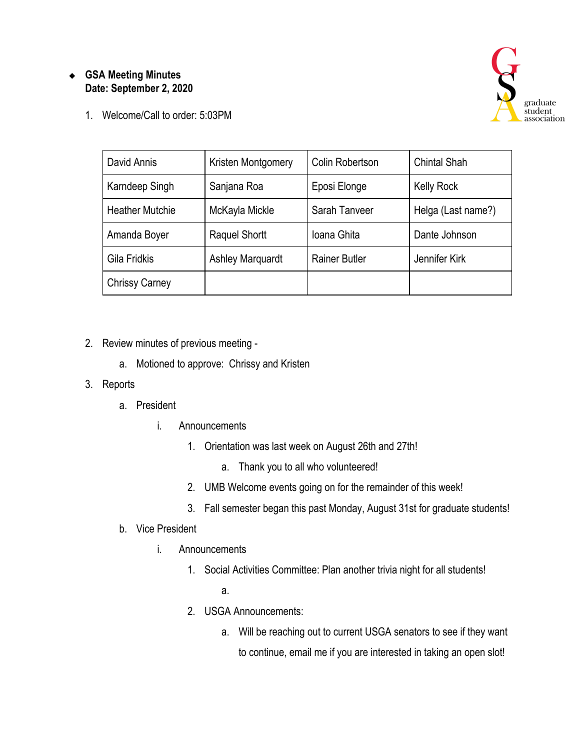## ❖ **GSA Meeting Minutes Date: September 2, 2020**

1. Welcome/Call to order: 5:03PM



| David Annis            | Kristen Montgomery      | Colin Robertson      | <b>Chintal Shah</b> |
|------------------------|-------------------------|----------------------|---------------------|
| Karndeep Singh         | Sanjana Roa             | Eposi Elonge         | <b>Kelly Rock</b>   |
| <b>Heather Mutchie</b> | McKayla Mickle          | Sarah Tanveer        | Helga (Last name?)  |
| Amanda Boyer           | <b>Raquel Shortt</b>    | Ioana Ghita          | Dante Johnson       |
| Gila Fridkis           | <b>Ashley Marquardt</b> | <b>Rainer Butler</b> | Jennifer Kirk       |
| <b>Chrissy Carney</b>  |                         |                      |                     |

- 2. Review minutes of previous meeting
	- a. Motioned to approve: Chrissy and Kristen

## 3. Reports

- a. President
	- i. Announcements
		- 1. Orientation was last week on August 26th and 27th!
			- a. Thank you to all who volunteered!
		- 2. UMB Welcome events going on for the remainder of this week!
		- 3. Fall semester began this past Monday, August 31st for graduate students!
- b. Vice President
	- i. Announcements
		- 1. Social Activities Committee: Plan another trivia night for all students!
			- a.
		- 2. USGA Announcements:
			- a. Will be reaching out to current USGA senators to see if they want to continue, email me if you are interested in taking an open slot!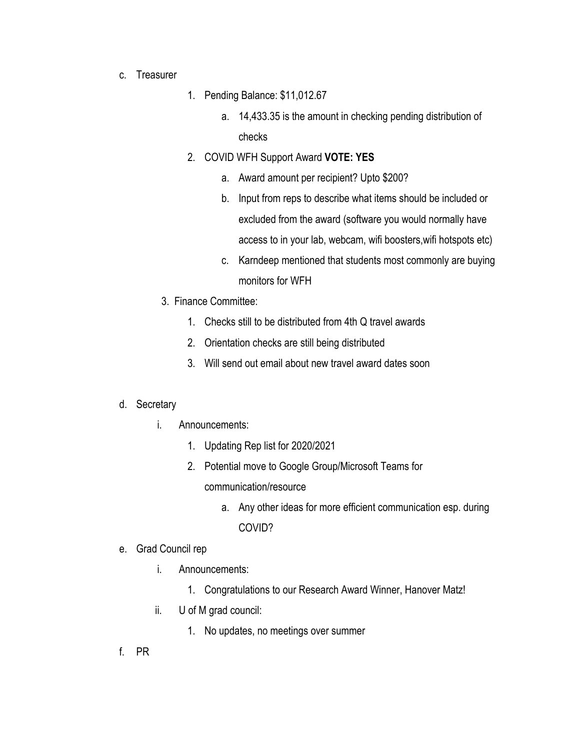- c. Treasurer
- 1. Pending Balance: \$11,012.67
	- a. 14,433.35 is the amount in checking pending distribution of checks
- 2. COVID WFH Support Award **VOTE: YES**
	- a. Award amount per recipient? Upto \$200?
	- b. Input from reps to describe what items should be included or excluded from the award (software you would normally have access to in your lab, webcam, wifi boosters,wifi hotspots etc)
	- c. Karndeep mentioned that students most commonly are buying monitors for WFH
- 3. Finance Committee:
	- 1. Checks still to be distributed from 4th Q travel awards
	- 2. Orientation checks are still being distributed
	- 3. Will send out email about new travel award dates soon

## d. Secretary

- i. Announcements:
	- 1. Updating Rep list for 2020/2021
	- 2. Potential move to Google Group/Microsoft Teams for communication/resource
		- a. Any other ideas for more efficient communication esp. during COVID?
- e. Grad Council rep
	- i. Announcements:
		- 1. Congratulations to our Research Award Winner, Hanover Matz!
	- ii. U of M grad council:
		- 1. No updates, no meetings over summer
- f. PR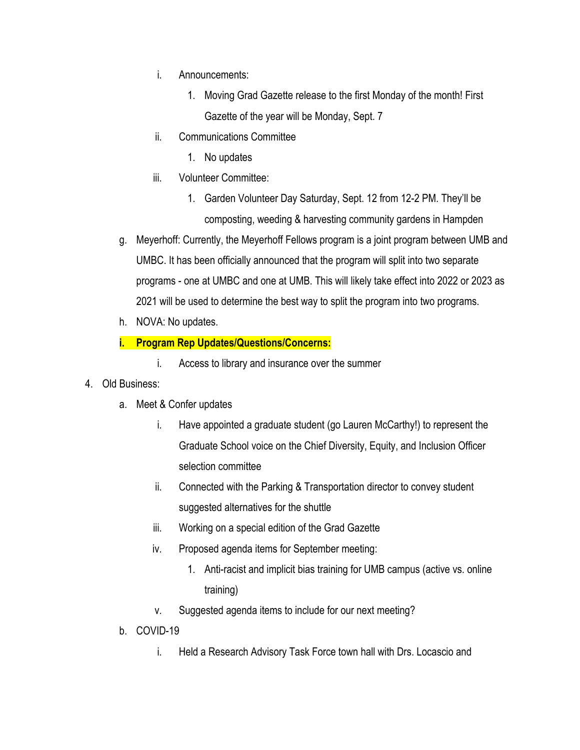- i. Announcements:
	- 1. Moving Grad Gazette release to the first Monday of the month! First Gazette of the year will be Monday, Sept. 7
- ii. Communications Committee
	- 1. No updates
- iii. Volunteer Committee:
	- 1. Garden Volunteer Day Saturday, Sept. 12 from 12-2 PM. They'll be composting, weeding & harvesting community gardens in Hampden
- g. Meyerhoff: Currently, the Meyerhoff Fellows program is a joint program between UMB and UMBC. It has been officially announced that the program will split into two separate programs - one at UMBC and one at UMB. This will likely take effect into 2022 or 2023 as 2021 will be used to determine the best way to split the program into two programs.
- h. NOVA: No updates.

## **i. Program Rep Updates/Questions/Concerns:**

- i. Access to library and insurance over the summer
- 4. Old Business:
	- a. Meet & Confer updates
		- i. Have appointed a graduate student (go Lauren McCarthy!) to represent the Graduate School voice on the Chief Diversity, Equity, and Inclusion Officer selection committee
		- ii. Connected with the Parking & Transportation director to convey student suggested alternatives for the shuttle
		- iii. Working on a special edition of the Grad Gazette
		- iv. Proposed agenda items for September meeting:
			- 1. Anti-racist and implicit bias training for UMB campus (active vs. online training)
		- v. Suggested agenda items to include for our next meeting?
	- b. COVID-19
		- i. Held a Research Advisory Task Force town hall with Drs. Locascio and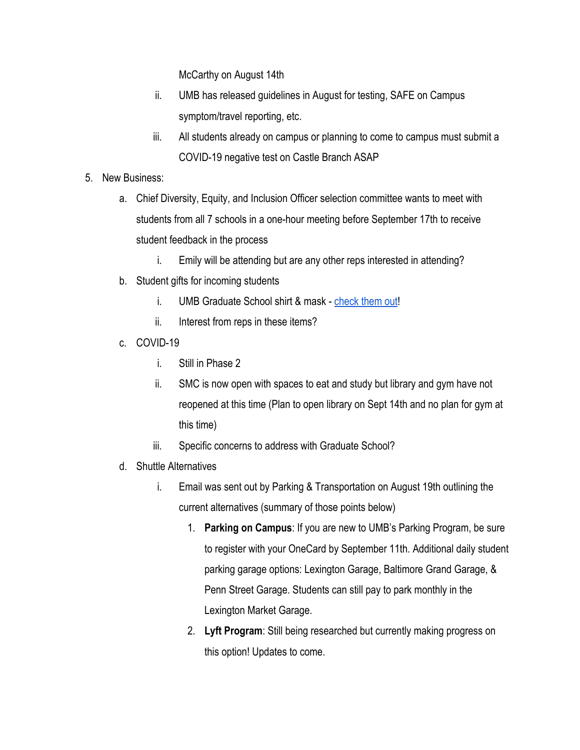McCarthy on August 14th

- ii. UMB has released guidelines in August for testing, SAFE on Campus symptom/travel reporting, etc.
- iii. All students already on campus or planning to come to campus must submit a COVID-19 negative test on Castle Branch ASAP
- 5. New Business:
	- a. Chief Diversity, Equity, and Inclusion Officer selection committee wants to meet with students from all 7 schools in a one-hour meeting before September 17th to receive student feedback in the process
		- i. Emily will be attending but are any other reps interested in attending?
	- b. Student gifts for incoming students
		- i. UMB Graduate School shirt & mask [check them out!](https://docs.google.com/document/d/1pZKhb9REeaHqkGRANag5L5vNmnIYByuXwjrFwJn_ABc/edit?usp=sharing)
		- ii. Interest from reps in these items?
	- c. COVID-19
		- i. Still in Phase 2
		- ii. SMC is now open with spaces to eat and study but library and gym have not reopened at this time (Plan to open library on Sept 14th and no plan for gym at this time)
		- iii. Specific concerns to address with Graduate School?
	- d. Shuttle Alternatives
		- i. Email was sent out by Parking & Transportation on August 19th outlining the current alternatives (summary of those points below)
			- 1. **Parking on Campus**: If you are new to UMB's Parking Program, be sure to register with your OneCard by September 11th. Additional daily student parking garage options: Lexington Garage, Baltimore Grand Garage, & Penn Street Garage. Students can still pay to park monthly in the Lexington Market Garage.
			- 2. **Lyft Program**: Still being researched but currently making progress on this option! Updates to come.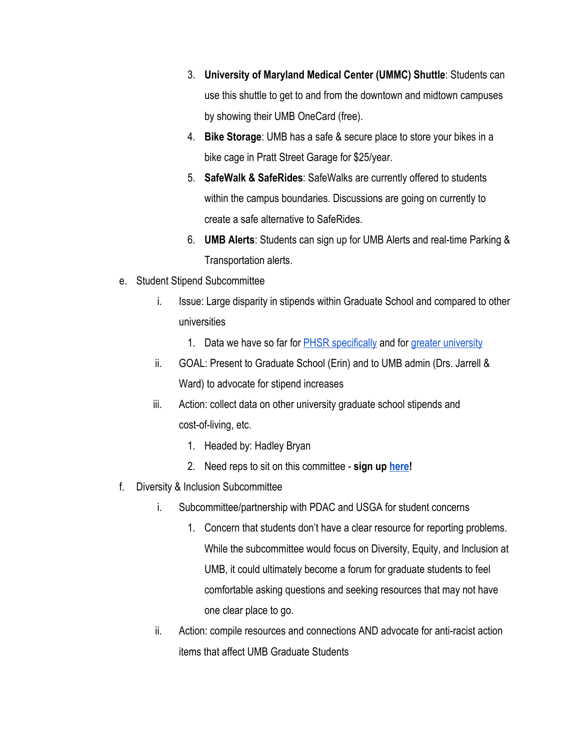- 3. **University of Maryland Medical Center (UMMC) Shuttle**: Students can use this shuttle to get to and from the downtown and midtown campuses by showing their UMB OneCard (free).
- 4. **Bike Storage**: UMB has a safe & secure place to store your bikes in a bike cage in Pratt Street Garage for \$25/year.
- 5. **SafeWalk & SafeRides**: SafeWalks are currently offered to students within the campus boundaries. Discussions are going on currently to create a safe alternative to SafeRides.
- 6. **UMB Alerts**: Students can sign up for UMB Alerts and real-time Parking & Transportation alerts.
- e. Student Stipend Subcommittee
	- i. Issue: Large disparity in stipends within Graduate School and compared to other universities
		- 1. Data we have so far for **PHSR** specifically and for [greater university](https://docs.google.com/document/d/1kb6M6DWjXHMBI2z_1LyyqqUiLKwdVyycH8-y4RrCaK4/edit?usp=sharing)
	- ii. GOAL: Present to Graduate School (Erin) and to UMB admin (Drs. Jarrell & Ward) to advocate for stipend increases
	- iii. Action: collect data on other university graduate school stipends and cost-of-living, etc.
		- 1. Headed by: Hadley Bryan
		- 2. Need reps to sit on this committee **sign up [here](https://docs.google.com/spreadsheets/d/1xr3QjsIzToEIMlLTKzh61J_ApBAT5ZAzqzrTozF3aZk/edit?usp=sharing)!**
- f. Diversity & Inclusion Subcommittee
	- i. Subcommittee/partnership with PDAC and USGA for student concerns
		- 1. Concern that students don't have a clear resource for reporting problems. While the subcommittee would focus on Diversity, Equity, and Inclusion at UMB, it could ultimately become a forum for graduate students to feel comfortable asking questions and seeking resources that may not have one clear place to go.
	- ii. Action: compile resources and connections AND advocate for anti-racist action items that affect UMB Graduate Students